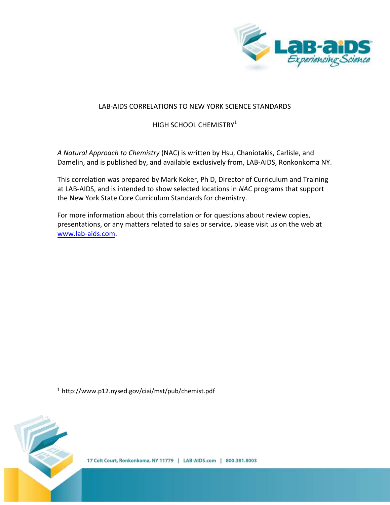

# LAB-AIDS CORRELATIONS TO NEW YORK SCIENCE STANDARDS

HIGH SCHOOL CHEMISTRY<sup>1</sup>

*A Natural Approach to Chemistry* (NAC) is written by Hsu, Chaniotakis, Carlisle, and Damelin, and is published by, and available exclusively from, LAB-AIDS, Ronkonkoma NY.

This correlation was prepared by Mark Koker, Ph D, Director of Curriculum and Training at LAB-AIDS, and is intended to show selected locations in *NAC* programs that support the New York State Core Curriculum Standards for chemistry.

For more information about this correlation or for questions about review copies, presentations, or any matters related to sales or service, please visit us on the web at [www.lab-aids.com.](http://www.lab-aids.com/)

<sup>1</sup> http://www.p12.nysed.gov/ciai/mst/pub/chemist.pdf



 $\overline{a}$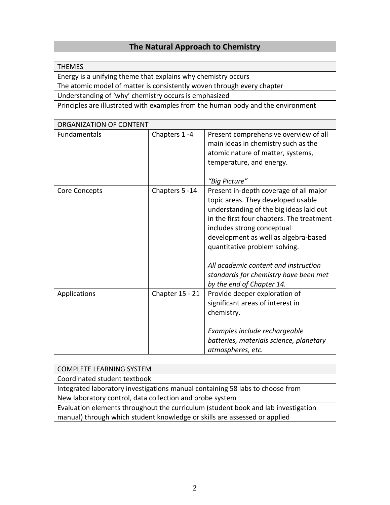| The Natural Approach to Chemistry                                             |                        |                                                                                   |  |
|-------------------------------------------------------------------------------|------------------------|-----------------------------------------------------------------------------------|--|
|                                                                               |                        |                                                                                   |  |
| <b>THEMES</b>                                                                 |                        |                                                                                   |  |
| Energy is a unifying theme that explains why chemistry occurs                 |                        |                                                                                   |  |
| The atomic model of matter is consistently woven through every chapter        |                        |                                                                                   |  |
| Understanding of 'why' chemistry occurs is emphasized                         |                        |                                                                                   |  |
|                                                                               |                        | Principles are illustrated with examples from the human body and the environment  |  |
|                                                                               |                        |                                                                                   |  |
| ORGANIZATION OF CONTENT                                                       |                        |                                                                                   |  |
| <b>Fundamentals</b>                                                           | Chapters 1-4           | Present comprehensive overview of all                                             |  |
|                                                                               |                        | main ideas in chemistry such as the                                               |  |
|                                                                               |                        | atomic nature of matter, systems,                                                 |  |
|                                                                               |                        | temperature, and energy.                                                          |  |
|                                                                               |                        |                                                                                   |  |
|                                                                               |                        | "Big Picture"                                                                     |  |
| Core Concepts                                                                 | Chapters 5-14          | Present in-depth coverage of all major                                            |  |
|                                                                               |                        | topic areas. They developed usable                                                |  |
|                                                                               |                        | understanding of the big ideas laid out                                           |  |
|                                                                               |                        | in the first four chapters. The treatment                                         |  |
|                                                                               |                        | includes strong conceptual                                                        |  |
|                                                                               |                        | development as well as algebra-based                                              |  |
|                                                                               |                        | quantitative problem solving.                                                     |  |
|                                                                               |                        | All academic content and instruction                                              |  |
|                                                                               |                        | standards for chemistry have been met                                             |  |
|                                                                               |                        | by the end of Chapter 14.                                                         |  |
| Applications                                                                  | <b>Chapter 15 - 21</b> | Provide deeper exploration of                                                     |  |
|                                                                               |                        | significant areas of interest in                                                  |  |
|                                                                               |                        | chemistry.                                                                        |  |
|                                                                               |                        |                                                                                   |  |
|                                                                               |                        | Examples include rechargeable                                                     |  |
|                                                                               |                        | batteries, materials science, planetary                                           |  |
|                                                                               |                        | atmospheres, etc.                                                                 |  |
|                                                                               |                        |                                                                                   |  |
| <b>COMPLETE LEARNING SYSTEM</b>                                               |                        |                                                                                   |  |
| Coordinated student textbook                                                  |                        |                                                                                   |  |
| Integrated laboratory investigations manual containing 58 labs to choose from |                        |                                                                                   |  |
| New laboratory control, data collection and probe system                      |                        |                                                                                   |  |
|                                                                               |                        | Evaluation elements throughout the curriculum (student book and lab investigation |  |
| manual) through which student knowledge or skills are assessed or applied     |                        |                                                                                   |  |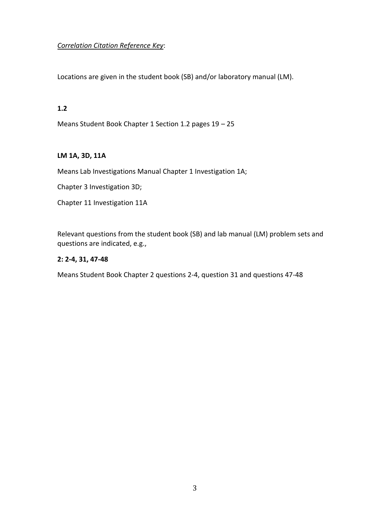# *Correlation Citation Reference Key*:

Locations are given in the student book (SB) and/or laboratory manual (LM).

#### **1.2**

Means Student Book Chapter 1 Section 1.2 pages 19 – 25

## **LM 1A, 3D, 11A**

Means Lab Investigations Manual Chapter 1 Investigation 1A;

Chapter 3 Investigation 3D;

Chapter 11 Investigation 11A

Relevant questions from the student book (SB) and lab manual (LM) problem sets and questions are indicated, e.g.,

## **2: 2-4, 31, 47-48**

Means Student Book Chapter 2 questions 2-4, question 31 and questions 47-48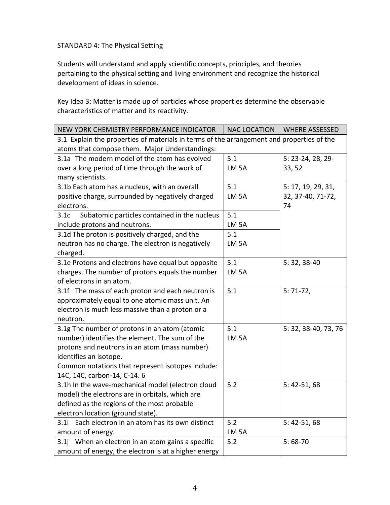STANDARD 4: The Physical Setting

Students will understand and apply scientific concepts, principles, and theories pertaining to the physical setting and living environment and recognize the historical development of ideas in science.

Key Idea 3: Matter is made up of particles whose properties determine the observable characteristics of matter and its reactivity.

| NEW YORK CHEMISTRY PERFORMANCE INDICATOR                                                  | <b>NAC LOCATION</b> | <b>WHERE ASSESSED</b> |
|-------------------------------------------------------------------------------------------|---------------------|-----------------------|
| 3.1 Explain the properties of materials in terms of the arrangement and properties of the |                     |                       |
| atoms that compose them. Major Understandings:                                            |                     |                       |
| 3.1a The modern model of the atom has evolved                                             | 5.1                 | 5: 23-24, 28, 29-     |
| over a long period of time through the work of                                            | LM <sub>5A</sub>    | 33, 52                |
| many scientists.                                                                          |                     |                       |
| 3.1b Each atom has a nucleus, with an overall                                             | 5.1                 | 5: 17, 19, 29, 31,    |
| positive charge, surrounded by negatively charged                                         | LM <sub>5A</sub>    | 32, 37-40, 71-72,     |
| electrons.                                                                                |                     | 74                    |
| Subatomic particles contained in the nucleus<br>3.1c                                      | 5.1                 |                       |
| include protons and neutrons.                                                             | LM <sub>5A</sub>    |                       |
| 3.1d The proton is positively charged, and the                                            | 5.1                 |                       |
| neutron has no charge. The electron is negatively                                         | LM <sub>5A</sub>    |                       |
| charged.                                                                                  |                     |                       |
| 3.1e Protons and electrons have equal but opposite                                        | 5.1                 | 5:32,38-40            |
| charges. The number of protons equals the number                                          | LM <sub>5A</sub>    |                       |
| of electrons in an atom.                                                                  |                     |                       |
| 3.1f The mass of each proton and each neutron is                                          | 5.1                 | $5:71-72,$            |
| approximately equal to one atomic mass unit. An                                           |                     |                       |
| electron is much less massive than a proton or a                                          |                     |                       |
| neutron.                                                                                  |                     |                       |
| 3.1g The number of protons in an atom (atomic                                             | 5.1                 | 5: 32, 38-40, 73, 76  |
| number) identifies the element. The sum of the                                            | LM <sub>5A</sub>    |                       |
| protons and neutrons in an atom (mass number)                                             |                     |                       |
| identifies an isotope.                                                                    |                     |                       |
| Common notations that represent isotopes include:                                         |                     |                       |
| 14C, 14C, carbon-14, C-14. 6                                                              |                     |                       |
| 3.1h In the wave-mechanical model (electron cloud                                         | 5.2                 | $5: 42-51, 68$        |
| model) the electrons are in orbitals, which are                                           |                     |                       |
| defined as the regions of the most probable                                               |                     |                       |
| electron location (ground state).                                                         |                     |                       |
| 3.1i Each electron in an atom has its own distinct                                        | 5.2                 | $5: 42-51, 68$        |
| amount of energy.                                                                         | LM <sub>5A</sub>    |                       |
| 3.1j When an electron in an atom gains a specific                                         | 5.2                 | $5:68-70$             |
| amount of energy, the electron is at a higher energy                                      |                     |                       |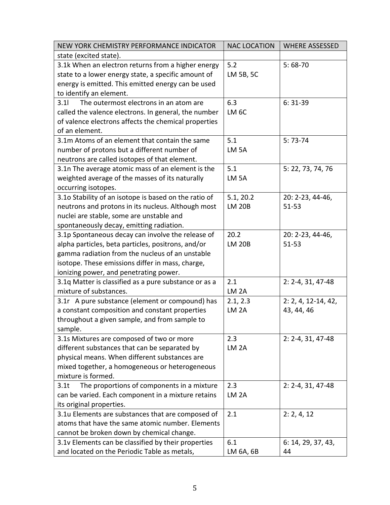| NEW YORK CHEMISTRY PERFORMANCE INDICATOR                       | <b>NAC LOCATION</b> | <b>WHERE ASSESSED</b>   |
|----------------------------------------------------------------|---------------------|-------------------------|
| state (excited state).                                         |                     |                         |
| 3.1k When an electron returns from a higher energy             | 5.2                 | $5:68-70$               |
| state to a lower energy state, a specific amount of            | LM 5B, 5C           |                         |
| energy is emitted. This emitted energy can be used             |                     |                         |
| to identify an element.                                        |                     |                         |
| 3.11<br>The outermost electrons in an atom are                 | 6.3                 | $6:31-39$               |
| called the valence electrons. In general, the number           | LM <sub>6C</sub>    |                         |
| of valence electrons affects the chemical properties           |                     |                         |
| of an element.                                                 |                     |                         |
| 3.1m Atoms of an element that contain the same                 | 5.1                 | $5:73-74$               |
| number of protons but a different number of                    | LM <sub>5A</sub>    |                         |
| neutrons are called isotopes of that element.                  |                     |                         |
| 3.1n The average atomic mass of an element is the              | 5.1                 | 5: 22, 73, 74, 76       |
| weighted average of the masses of its naturally                | LM <sub>5A</sub>    |                         |
| occurring isotopes.                                            |                     |                         |
| 3.10 Stability of an isotope is based on the ratio of          | 5.1, 20.2           | 20: 2-23, 44-46,        |
| neutrons and protons in its nucleus. Although most             | <b>LM 20B</b>       | $51 - 53$               |
| nuclei are stable, some are unstable and                       |                     |                         |
| spontaneously decay, emitting radiation.                       |                     |                         |
| 3.1p Spontaneous decay can involve the release of              | 20.2                | 20: 2-23, 44-46,        |
| alpha particles, beta particles, positrons, and/or             | <b>LM 20B</b>       | $51 - 53$               |
| gamma radiation from the nucleus of an unstable                |                     |                         |
| isotope. These emissions differ in mass, charge,               |                     |                         |
| ionizing power, and penetrating power.                         |                     |                         |
| 3.1q Matter is classified as a pure substance or as a          | 2.1                 | $2: 2 - 4, 31, 47 - 48$ |
| mixture of substances.                                         | LM <sub>2A</sub>    |                         |
| 3.1r A pure substance (element or compound) has                | 2.1, 2.3            | $2: 2, 4, 12-14, 42,$   |
| a constant composition and constant properties                 | LM <sub>2A</sub>    | 43, 44, 46              |
| throughout a given sample, and from sample to                  |                     |                         |
| sample.                                                        |                     |                         |
| 3.1s Mixtures are composed of two or more                      | 2.3                 | $2: 2 - 4, 31, 47 - 48$ |
| different substances that can be separated by                  | LM <sub>2A</sub>    |                         |
| physical means. When different substances are                  |                     |                         |
| mixed together, a homogeneous or heterogeneous                 |                     |                         |
| mixture is formed.                                             |                     |                         |
| The proportions of components in a mixture<br>3.1 <sub>t</sub> | 2.3                 | $2: 2-4, 31, 47-48$     |
| can be varied. Each component in a mixture retains             | LM <sub>2A</sub>    |                         |
| its original properties.                                       |                     |                         |
| 3.1u Elements are substances that are composed of              | 2.1                 | 2: 2, 4, 12             |
| atoms that have the same atomic number. Elements               |                     |                         |
| cannot be broken down by chemical change.                      |                     |                         |
| 3.1v Elements can be classified by their properties            | 6.1                 | 6: 14, 29, 37, 43,      |
| and located on the Periodic Table as metals,                   | LM 6A, 6B           | 44                      |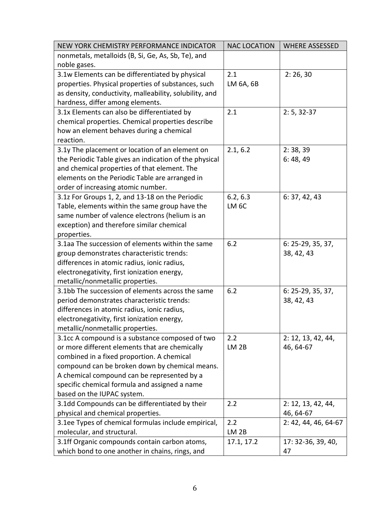| NEW YORK CHEMISTRY PERFORMANCE INDICATOR                | <b>NAC LOCATION</b> | <b>WHERE ASSESSED</b> |
|---------------------------------------------------------|---------------------|-----------------------|
| nonmetals, metalloids (B, Si, Ge, As, Sb, Te), and      |                     |                       |
| noble gases.                                            |                     |                       |
| 3.1w Elements can be differentiated by physical         | 2.1                 | 2:26,30               |
| properties. Physical properties of substances, such     | LM 6A, 6B           |                       |
| as density, conductivity, malleability, solubility, and |                     |                       |
| hardness, differ among elements.                        |                     |                       |
| 3.1x Elements can also be differentiated by             | 2.1                 | $2: 5, 32-37$         |
| chemical properties. Chemical properties describe       |                     |                       |
| how an element behaves during a chemical                |                     |                       |
| reaction.                                               |                     |                       |
| 3.1y The placement or location of an element on         | 2.1, 6.2            | 2:38,39               |
| the Periodic Table gives an indication of the physical  |                     | 6:48,49               |
| and chemical properties of that element. The            |                     |                       |
| elements on the Periodic Table are arranged in          |                     |                       |
| order of increasing atomic number.                      |                     |                       |
| 3.1z For Groups 1, 2, and 13-18 on the Periodic         | 6.2, 6.3            | 6: 37, 42, 43         |
| Table, elements within the same group have the          | LM <sub>6C</sub>    |                       |
| same number of valence electrons (helium is an          |                     |                       |
| exception) and therefore similar chemical               |                     |                       |
| properties.                                             |                     |                       |
| 3.1aa The succession of elements within the same        | 6.2                 | 6: 25-29, 35, 37,     |
| group demonstrates characteristic trends:               |                     | 38, 42, 43            |
| differences in atomic radius, ionic radius,             |                     |                       |
| electronegativity, first ionization energy,             |                     |                       |
| metallic/nonmetallic properties.                        |                     |                       |
| 3.1bb The succession of elements across the same        | 6.2                 | 6: 25-29, 35, 37,     |
| period demonstrates characteristic trends:              |                     | 38, 42, 43            |
| differences in atomic radius, ionic radius,             |                     |                       |
| electronegativity, first ionization energy,             |                     |                       |
| metallic/nonmetallic properties.                        |                     |                       |
| 3.1cc A compound is a substance composed of two         | 2.2                 | 2: 12, 13, 42, 44,    |
| or more different elements that are chemically          | LM <sub>2B</sub>    | 46, 64-67             |
| combined in a fixed proportion. A chemical              |                     |                       |
| compound can be broken down by chemical means.          |                     |                       |
| A chemical compound can be represented by a             |                     |                       |
| specific chemical formula and assigned a name           |                     |                       |
| based on the IUPAC system.                              |                     |                       |
| 3.1dd Compounds can be differentiated by their          | 2.2                 | 2: 12, 13, 42, 44,    |
| physical and chemical properties.                       |                     | 46, 64-67             |
| 3.1ee Types of chemical formulas include empirical,     | 2.2                 | 2: 42, 44, 46, 64-67  |
| molecular, and structural.                              | LM <sub>2B</sub>    |                       |
| 3.1ff Organic compounds contain carbon atoms,           | 17.1, 17.2          | 17: 32-36, 39, 40,    |
| which bond to one another in chains, rings, and         |                     | 47                    |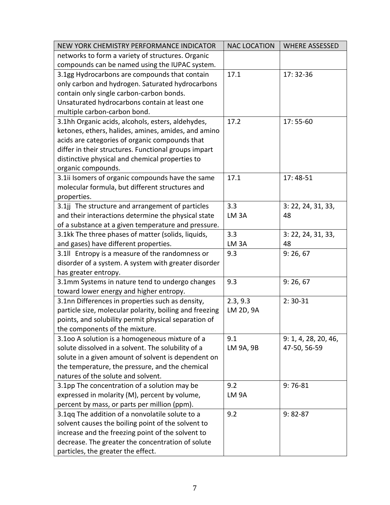| NEW YORK CHEMISTRY PERFORMANCE INDICATOR                | <b>NAC LOCATION</b> | <b>WHERE ASSESSED</b> |
|---------------------------------------------------------|---------------------|-----------------------|
| networks to form a variety of structures. Organic       |                     |                       |
| compounds can be named using the IUPAC system.          |                     |                       |
| 3.1gg Hydrocarbons are compounds that contain           | 17.1                | 17:32-36              |
| only carbon and hydrogen. Saturated hydrocarbons        |                     |                       |
| contain only single carbon-carbon bonds.                |                     |                       |
| Unsaturated hydrocarbons contain at least one           |                     |                       |
| multiple carbon-carbon bond.                            |                     |                       |
| 3.1hh Organic acids, alcohols, esters, aldehydes,       | 17.2                | $17:55-60$            |
| ketones, ethers, halides, amines, amides, and amino     |                     |                       |
| acids are categories of organic compounds that          |                     |                       |
| differ in their structures. Functional groups impart    |                     |                       |
| distinctive physical and chemical properties to         |                     |                       |
| organic compounds.                                      |                     |                       |
| 3.1ii Isomers of organic compounds have the same        | 17.1                | $17:48-51$            |
| molecular formula, but different structures and         |                     |                       |
| properties.                                             |                     |                       |
| 3.1jj The structure and arrangement of particles        | 3.3                 | 3: 22, 24, 31, 33,    |
| and their interactions determine the physical state     | LM <sub>3A</sub>    | 48                    |
| of a substance at a given temperature and pressure.     |                     |                       |
| 3.1kk The three phases of matter (solids, liquids,      | 3.3                 | 3: 22, 24, 31, 33,    |
| and gases) have different properties.                   | LM <sub>3</sub> A   | 48                    |
| 3.1II Entropy is a measure of the randomness or         | 9.3                 | 9:26,67               |
| disorder of a system. A system with greater disorder    |                     |                       |
| has greater entropy.                                    |                     |                       |
| 3.1mm Systems in nature tend to undergo changes         | 9.3                 | 9: 26, 67             |
| toward lower energy and higher entropy.                 |                     |                       |
| 3.1nn Differences in properties such as density,        | 2.3, 9.3            | $2:30-31$             |
| particle size, molecular polarity, boiling and freezing | LM 2D, 9A           |                       |
| points, and solubility permit physical separation of    |                     |                       |
| the components of the mixture.                          |                     |                       |
| 3.100 A solution is a homogeneous mixture of a          | 9.1                 | 9: 1, 4, 28, 20, 46,  |
| solute dissolved in a solvent. The solubility of a      | LM 9A, 9B           | 47-50, 56-59          |
| solute in a given amount of solvent is dependent on     |                     |                       |
| the temperature, the pressure, and the chemical         |                     |                       |
| natures of the solute and solvent.                      |                     |                       |
| 3.1pp The concentration of a solution may be            | 9.2                 | $9:76-81$             |
| expressed in molarity (M), percent by volume,           | LM <sub>9A</sub>    |                       |
| percent by mass, or parts per million (ppm).            |                     |                       |
| 3.1qq The addition of a nonvolatile solute to a         | 9.2                 | $9:82-87$             |
| solvent causes the boiling point of the solvent to      |                     |                       |
| increase and the freezing point of the solvent to       |                     |                       |
| decrease. The greater the concentration of solute       |                     |                       |
| particles, the greater the effect.                      |                     |                       |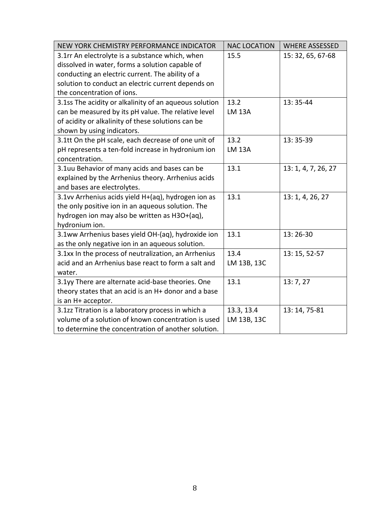| NEW YORK CHEMISTRY PERFORMANCE INDICATOR               | <b>NAC LOCATION</b> | <b>WHERE ASSESSED</b> |
|--------------------------------------------------------|---------------------|-----------------------|
| 3.1rr An electrolyte is a substance which, when        | 15.5                | 15: 32, 65, 67-68     |
| dissolved in water, forms a solution capable of        |                     |                       |
| conducting an electric current. The ability of a       |                     |                       |
| solution to conduct an electric current depends on     |                     |                       |
| the concentration of ions.                             |                     |                       |
| 3.1ss The acidity or alkalinity of an aqueous solution | 13.2                | 13:35-44              |
| can be measured by its pH value. The relative level    | <b>LM 13A</b>       |                       |
| of acidity or alkalinity of these solutions can be     |                     |                       |
| shown by using indicators.                             |                     |                       |
| 3.1tt On the pH scale, each decrease of one unit of    | 13.2                | 13:35-39              |
| pH represents a ten-fold increase in hydronium ion     | <b>LM 13A</b>       |                       |
| concentration.                                         |                     |                       |
| 3.1uu Behavior of many acids and bases can be          | 13.1                | 13: 1, 4, 7, 26, 27   |
| explained by the Arrhenius theory. Arrhenius acids     |                     |                       |
| and bases are electrolytes.                            |                     |                       |
| 3.1vv Arrhenius acids yield H+(aq), hydrogen ion as    | 13.1                | 13: 1, 4, 26, 27      |
| the only positive ion in an aqueous solution. The      |                     |                       |
| hydrogen ion may also be written as H3O+(aq),          |                     |                       |
| hydronium ion.                                         |                     |                       |
| 3.1ww Arrhenius bases yield OH-(aq), hydroxide ion     | 13.1                | 13:26-30              |
| as the only negative ion in an aqueous solution.       |                     |                       |
| 3.1xx In the process of neutralization, an Arrhenius   | 13.4                | 13: 15, 52-57         |
| acid and an Arrhenius base react to form a salt and    | LM 13B, 13C         |                       |
| water.                                                 |                     |                       |
| 3.1yy There are alternate acid-base theories. One      | 13.1                | 13:7,27               |
| theory states that an acid is an H+ donor and a base   |                     |                       |
| is an H+ acceptor.                                     |                     |                       |
| 3.1zz Titration is a laboratory process in which a     | 13.3, 13.4          | 13: 14, 75-81         |
| volume of a solution of known concentration is used    | LM 13B, 13C         |                       |
| to determine the concentration of another solution.    |                     |                       |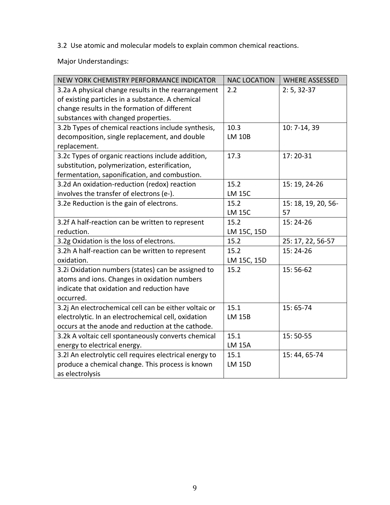3.2 Use atomic and molecular models to explain common chemical reactions.

Major Understandings:

| NEW YORK CHEMISTRY PERFORMANCE INDICATOR                | <b>NAC LOCATION</b> | <b>WHERE ASSESSED</b> |
|---------------------------------------------------------|---------------------|-----------------------|
| 3.2a A physical change results in the rearrangement     | 2.2                 | $2: 5, 32-37$         |
| of existing particles in a substance. A chemical        |                     |                       |
| change results in the formation of different            |                     |                       |
| substances with changed properties.                     |                     |                       |
| 3.2b Types of chemical reactions include synthesis,     | 10.3                | 10: 7-14, 39          |
| decomposition, single replacement, and double           | <b>LM 10B</b>       |                       |
| replacement.                                            |                     |                       |
| 3.2c Types of organic reactions include addition,       | 17.3                | 17:20-31              |
| substitution, polymerization, esterification,           |                     |                       |
| fermentation, saponification, and combustion.           |                     |                       |
| 3.2d An oxidation-reduction (redox) reaction            | 15.2                | 15: 19, 24-26         |
| involves the transfer of electrons (e-).                | <b>LM 15C</b>       |                       |
| 3.2e Reduction is the gain of electrons.                | 15.2                | 15: 18, 19, 20, 56-   |
|                                                         | <b>LM 15C</b>       | 57                    |
| 3.2f A half-reaction can be written to represent        | 15.2                | 15:24-26              |
| reduction.                                              | LM 15C, 15D         |                       |
| 3.2g Oxidation is the loss of electrons.                | 15.2                | 25: 17, 22, 56-57     |
| 3.2h A half-reaction can be written to represent        | 15.2                | 15:24-26              |
| oxidation.                                              | LM 15C, 15D         |                       |
| 3.2i Oxidation numbers (states) can be assigned to      | 15.2                | $15:56-62$            |
| atoms and ions. Changes in oxidation numbers            |                     |                       |
| indicate that oxidation and reduction have              |                     |                       |
| occurred.                                               |                     |                       |
| 3.2j An electrochemical cell can be either voltaic or   | 15.1                | 15:65-74              |
| electrolytic. In an electrochemical cell, oxidation     | <b>LM 15B</b>       |                       |
| occurs at the anode and reduction at the cathode.       |                     |                       |
| 3.2k A voltaic cell spontaneously converts chemical     | 15.1                | 15:50-55              |
| energy to electrical energy.                            | <b>LM 15A</b>       |                       |
| 3.2l An electrolytic cell requires electrical energy to | 15.1                | 15:44,65-74           |
| produce a chemical change. This process is known        | <b>LM 15D</b>       |                       |
| as electrolysis                                         |                     |                       |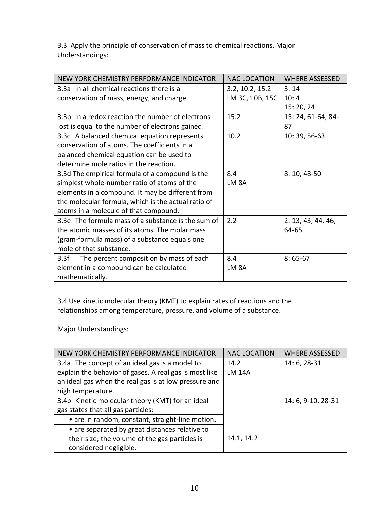3.3 Apply the principle of conservation of mass to chemical reactions. Major Understandings:

| NEW YORK CHEMISTRY PERFORMANCE INDICATOR            | <b>NAC LOCATION</b> | <b>WHERE ASSESSED</b> |
|-----------------------------------------------------|---------------------|-----------------------|
| 3.3a In all chemical reactions there is a           | 3.2, 10.2, 15.2     | 3:14                  |
| conservation of mass, energy, and charge.           | LM 3C, 10B, 15C     | 10:4                  |
|                                                     |                     | 15:20,24              |
| 3.3b In a redox reaction the number of electrons    | 15.2                | 15: 24, 61-64, 84-    |
| lost is equal to the number of electrons gained.    |                     | 87                    |
| 3.3c A balanced chemical equation represents        | 10.2                | 10:39,56-63           |
| conservation of atoms. The coefficients in a        |                     |                       |
| balanced chemical equation can be used to           |                     |                       |
| determine mole ratios in the reaction.              |                     |                       |
| 3.3d The empirical formula of a compound is the     | 8.4                 | 8:10,48-50            |
| simplest whole-number ratio of atoms of the         | LM <sub>8A</sub>    |                       |
| elements in a compound. It may be different from    |                     |                       |
| the molecular formula, which is the actual ratio of |                     |                       |
| atoms in a molecule of that compound.               |                     |                       |
| 3.3e The formula mass of a substance is the sum of  | 2.2                 | 2: 13, 43, 44, 46,    |
| the atomic masses of its atoms. The molar mass      |                     | 64-65                 |
| (gram-formula mass) of a substance equals one       |                     |                       |
| mole of that substance.                             |                     |                       |
| 3.3f<br>The percent composition by mass of each     | 8.4                 | $8:65-67$             |
| element in a compound can be calculated             | LM <sub>8</sub> A   |                       |
| mathematically.                                     |                     |                       |

3.4 Use kinetic molecular theory (KMT) to explain rates of reactions and the relationships among temperature, pressure, and volume of a substance.

Major Understandings:

| NEW YORK CHEMISTRY PERFORMANCE INDICATOR               | <b>NAC LOCATION</b> | <b>WHERE ASSESSED</b> |
|--------------------------------------------------------|---------------------|-----------------------|
| 3.4a The concept of an ideal gas is a model to         | 14.2                | 14: 6, 28-31          |
| explain the behavior of gases. A real gas is most like | <b>LM 14A</b>       |                       |
| an ideal gas when the real gas is at low pressure and  |                     |                       |
| high temperature.                                      |                     |                       |
| 3.4b Kinetic molecular theory (KMT) for an ideal       |                     | 14: 6, 9-10, 28-31    |
| gas states that all gas particles:                     |                     |                       |
| • are in random, constant, straight-line motion.       |                     |                       |
| • are separated by great distances relative to         |                     |                       |
| their size; the volume of the gas particles is         | 14.1, 14.2          |                       |
| considered negligible.                                 |                     |                       |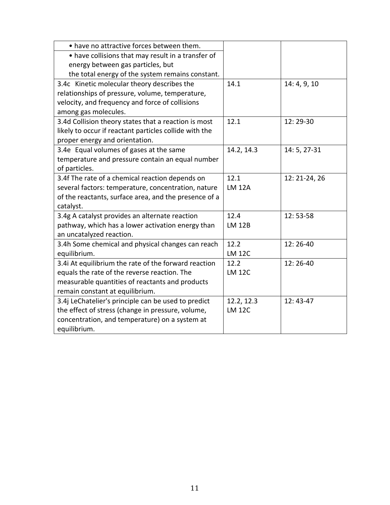| • have no attractive forces between them.              |               |               |
|--------------------------------------------------------|---------------|---------------|
| • have collisions that may result in a transfer of     |               |               |
| energy between gas particles, but                      |               |               |
| the total energy of the system remains constant.       |               |               |
| 3.4c Kinetic molecular theory describes the            | 14.1          | 14: 4, 9, 10  |
| relationships of pressure, volume, temperature,        |               |               |
| velocity, and frequency and force of collisions        |               |               |
| among gas molecules.                                   |               |               |
| 3.4d Collision theory states that a reaction is most   | 12.1          | 12:29-30      |
| likely to occur if reactant particles collide with the |               |               |
| proper energy and orientation.                         |               |               |
| 3.4e Equal volumes of gases at the same                | 14.2, 14.3    | 14: 5, 27-31  |
| temperature and pressure contain an equal number       |               |               |
| of particles.                                          |               |               |
| 3.4f The rate of a chemical reaction depends on        | 12.1          | 12: 21-24, 26 |
| several factors: temperature, concentration, nature    | <b>LM 12A</b> |               |
| of the reactants, surface area, and the presence of a  |               |               |
| catalyst.                                              |               |               |
| 3.4g A catalyst provides an alternate reaction         | 12.4          | 12:53-58      |
| pathway, which has a lower activation energy than      | <b>LM 12B</b> |               |
| an uncatalyzed reaction.                               |               |               |
| 3.4h Some chemical and physical changes can reach      | 12.2          | 12:26-40      |
| equilibrium.                                           | <b>LM 12C</b> |               |
| 3.4i At equilibrium the rate of the forward reaction   | 12.2          | 12:26-40      |
| equals the rate of the reverse reaction. The           | <b>LM 12C</b> |               |
| measurable quantities of reactants and products        |               |               |
| remain constant at equilibrium.                        |               |               |
| 3.4j LeChatelier's principle can be used to predict    | 12.2, 12.3    | $12:43-47$    |
| the effect of stress (change in pressure, volume,      | <b>LM 12C</b> |               |
| concentration, and temperature) on a system at         |               |               |
| equilibrium.                                           |               |               |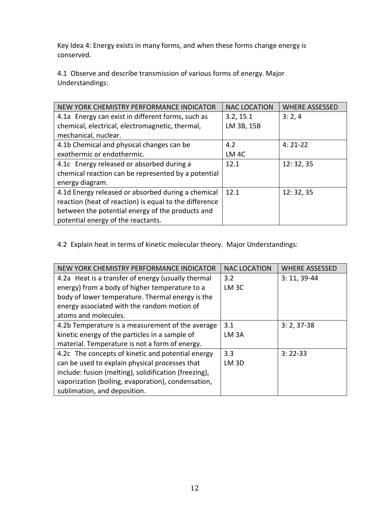Key Idea 4: Energy exists in many forms, and when these forms change energy is conserved.

4.1 Observe and describe transmission of various forms of energy. Major Understandings:

| NEW YORK CHEMISTRY PERFORMANCE INDICATOR               | <b>NAC LOCATION</b> | <b>WHERE ASSESSED</b> |
|--------------------------------------------------------|---------------------|-----------------------|
| 4.1a Energy can exist in different forms, such as      | 3.2, 15.1           | 3:2,4                 |
| chemical, electrical, electromagnetic, thermal,        | LM 3B, 15B          |                       |
| mechanical, nuclear.                                   |                     |                       |
| 4.1b Chemical and physical changes can be              | 4.2                 | $4:21-22$             |
| exothermic or endothermic.                             | LM <sub>4C</sub>    |                       |
| 4.1c Energy released or absorbed during a              | 12.1                | 12:32,35              |
| chemical reaction can be represented by a potential    |                     |                       |
| energy diagram.                                        |                     |                       |
| 4.1d Energy released or absorbed during a chemical     | 12.1                | 12:32,35              |
| reaction (heat of reaction) is equal to the difference |                     |                       |
| between the potential energy of the products and       |                     |                       |
| potential energy of the reactants.                     |                     |                       |

4.2 Explain heat in terms of kinetic molecular theory. Major Understandings:

| NEW YORK CHEMISTRY PERFORMANCE INDICATOR              | <b>NAC LOCATION</b> | <b>WHERE ASSESSED</b> |
|-------------------------------------------------------|---------------------|-----------------------|
| 4.2a Heat is a transfer of energy (usually thermal    | 3.2                 | $3: 11, 39-44$        |
| energy) from a body of higher temperature to a        | LM <sub>3C</sub>    |                       |
| body of lower temperature. Thermal energy is the      |                     |                       |
| energy associated with the random motion of           |                     |                       |
| atoms and molecules.                                  |                     |                       |
| 4.2b Temperature is a measurement of the average      | 3.1                 | $3: 2, 37-38$         |
| kinetic energy of the particles in a sample of        | LM <sub>3</sub> A   |                       |
| material. Temperature is not a form of energy.        |                     |                       |
| 4.2c The concepts of kinetic and potential energy     | 3.3                 | $3:22-33$             |
| can be used to explain physical processes that        | LM <sub>3D</sub>    |                       |
| include: fusion (melting), solidification (freezing), |                     |                       |
| vaporization (boiling, evaporation), condensation,    |                     |                       |
| sublimation, and deposition.                          |                     |                       |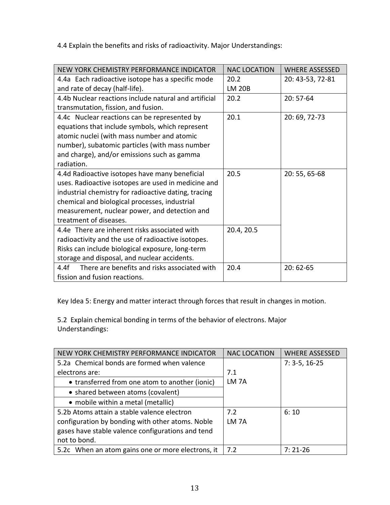4.4 Explain the benefits and risks of radioactivity. Major Understandings:

| NEW YORK CHEMISTRY PERFORMANCE INDICATOR              | <b>NAC LOCATION</b> | <b>WHERE ASSESSED</b> |
|-------------------------------------------------------|---------------------|-----------------------|
| 4.4a Each radioactive isotope has a specific mode     | 20.2                | 20: 43-53, 72-81      |
| and rate of decay (half-life).                        | <b>LM 20B</b>       |                       |
| 4.4b Nuclear reactions include natural and artificial | 20.2                | $20:57-64$            |
| transmutation, fission, and fusion.                   |                     |                       |
| 4.4c Nuclear reactions can be represented by          | 20.1                | 20:69,72-73           |
| equations that include symbols, which represent       |                     |                       |
| atomic nuclei (with mass number and atomic            |                     |                       |
| number), subatomic particles (with mass number        |                     |                       |
| and charge), and/or emissions such as gamma           |                     |                       |
| radiation.                                            |                     |                       |
| 4.4d Radioactive isotopes have many beneficial        | 20.5                | 20:55,65-68           |
| uses. Radioactive isotopes are used in medicine and   |                     |                       |
| industrial chemistry for radioactive dating, tracing  |                     |                       |
| chemical and biological processes, industrial         |                     |                       |
| measurement, nuclear power, and detection and         |                     |                       |
| treatment of diseases.                                |                     |                       |
| 4.4e There are inherent risks associated with         | 20.4, 20.5          |                       |
| radioactivity and the use of radioactive isotopes.    |                     |                       |
| Risks can include biological exposure, long-term      |                     |                       |
| storage and disposal, and nuclear accidents.          |                     |                       |
| There are benefits and risks associated with<br>4.4f  | 20.4                | $20:62-65$            |
| fission and fusion reactions.                         |                     |                       |

Key Idea 5: Energy and matter interact through forces that result in changes in motion.

5.2 Explain chemical bonding in terms of the behavior of electrons. Major Understandings:

| NEW YORK CHEMISTRY PERFORMANCE INDICATOR          | <b>NAC LOCATION</b> | <b>WHERE ASSESSED</b> |
|---------------------------------------------------|---------------------|-----------------------|
| 5.2a Chemical bonds are formed when valence       |                     | $7: 3-5, 16-25$       |
| electrons are:                                    | 7.1                 |                       |
| • transferred from one atom to another (ionic)    | LM <sub>7A</sub>    |                       |
| • shared between atoms (covalent)                 |                     |                       |
| • mobile within a metal (metallic)                |                     |                       |
| 5.2b Atoms attain a stable valence electron       | 7.2                 | 6:10                  |
| configuration by bonding with other atoms. Noble  | LM <sub>7</sub> A   |                       |
| gases have stable valence configurations and tend |                     |                       |
| not to bond.                                      |                     |                       |
| 5.2c When an atom gains one or more electrons, it | 7.2                 | $7:21-26$             |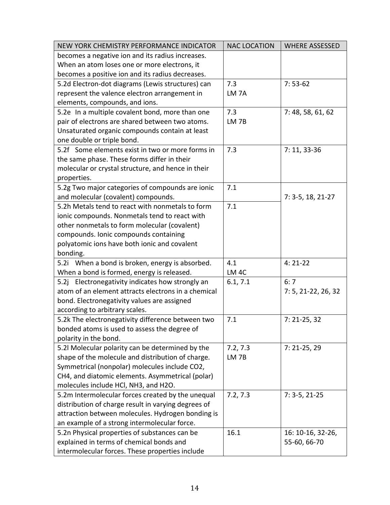| NEW YORK CHEMISTRY PERFORMANCE INDICATOR            | <b>NAC LOCATION</b> | <b>WHERE ASSESSED</b> |
|-----------------------------------------------------|---------------------|-----------------------|
| becomes a negative ion and its radius increases.    |                     |                       |
| When an atom loses one or more electrons, it        |                     |                       |
| becomes a positive ion and its radius decreases.    |                     |                       |
| 5.2d Electron-dot diagrams (Lewis structures) can   | 7.3                 | $7:53-62$             |
| represent the valence electron arrangement in       | LM <sub>7A</sub>    |                       |
| elements, compounds, and ions.                      |                     |                       |
| 5.2e In a multiple covalent bond, more than one     | 7.3                 | 7: 48, 58, 61, 62     |
| pair of electrons are shared between two atoms.     | LM <sub>7B</sub>    |                       |
| Unsaturated organic compounds contain at least      |                     |                       |
| one double or triple bond.                          |                     |                       |
| 5.2f Some elements exist in two or more forms in    | 7.3                 | $7: 11, 33-36$        |
| the same phase. These forms differ in their         |                     |                       |
| molecular or crystal structure, and hence in their  |                     |                       |
| properties.                                         |                     |                       |
| 5.2g Two major categories of compounds are ionic    | 7.1                 |                       |
| and molecular (covalent) compounds.                 |                     | $7: 3-5, 18, 21-27$   |
| 5.2h Metals tend to react with nonmetals to form    | 7.1                 |                       |
| ionic compounds. Nonmetals tend to react with       |                     |                       |
| other nonmetals to form molecular (covalent)        |                     |                       |
| compounds. Ionic compounds containing               |                     |                       |
| polyatomic ions have both ionic and covalent        |                     |                       |
| bonding.                                            |                     |                       |
| 5.2i When a bond is broken, energy is absorbed.     | 4.1                 | $4:21-22$             |
| When a bond is formed, energy is released.          | LM <sub>4C</sub>    |                       |
| 5.2j Electronegativity indicates how strongly an    | 6.1, 7.1            | 6:7                   |
| atom of an element attracts electrons in a chemical |                     | 7: 5, 21-22, 26, 32   |
| bond. Electronegativity values are assigned         |                     |                       |
| according to arbitrary scales.                      |                     |                       |
| 5.2k The electronegativity difference between two   | 7.1                 | $7: 21-25, 32$        |
| bonded atoms is used to assess the degree of        |                     |                       |
| polarity in the bond.                               |                     |                       |
| 5.2l Molecular polarity can be determined by the    | 7.2, 7.3            | $7: 21-25, 29$        |
| shape of the molecule and distribution of charge.   | LM <sub>7B</sub>    |                       |
| Symmetrical (nonpolar) molecules include CO2,       |                     |                       |
| CH4, and diatomic elements. Asymmetrical (polar)    |                     |                       |
| molecules include HCl, NH3, and H2O.                |                     |                       |
| 5.2m Intermolecular forces created by the unequal   | 7.2, 7.3            | $7: 3-5, 21-25$       |
| distribution of charge result in varying degrees of |                     |                       |
| attraction between molecules. Hydrogen bonding is   |                     |                       |
| an example of a strong intermolecular force.        |                     |                       |
| 5.2n Physical properties of substances can be       | 16.1                | 16: 10-16, 32-26,     |
| explained in terms of chemical bonds and            |                     | 55-60, 66-70          |
| intermolecular forces. These properties include     |                     |                       |